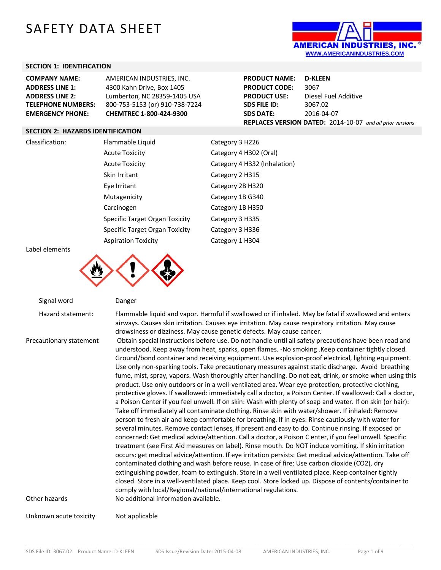# SAFETY DATA SHEET



#### **SECTION 1: IDENTIFICATION**

| <b>COMPANY NAME:</b>      | AMERICAN INDUSTRIES, INC.      |
|---------------------------|--------------------------------|
| <b>ADDRESS LINE 1:</b>    | 4300 Kahn Drive, Box 1405      |
| <b>ADDRESS LINE 2:</b>    | Lumberton, NC 28359-1405 USA   |
| <b>TELEPHONE NUMBERS:</b> | 800-753-5153 (or) 910-738-7224 |
| <b>EMERGENCY PHONE:</b>   | CHEMTREC 1-800-424-9300        |

| <b>PRODUCT NAME:</b>                                      | <b>D-KLEEN</b>       |  |
|-----------------------------------------------------------|----------------------|--|
| <b>PRODUCT CODE:</b>                                      | 3067                 |  |
| <b>PRODUCT USE:</b>                                       | Diesel Fuel Additive |  |
| <b>SDS FILE ID:</b>                                       | 3067.02              |  |
| <b>SDS DATE:</b>                                          | 2016-04-07           |  |
| REPLACES VERSION DATED: 2014-10-07 and all prior versions |                      |  |

#### **SECTION 2: HAZARDS IDENTIFICATION**

Classification:

| Flammable Liquid               | Category 3 H226              |
|--------------------------------|------------------------------|
| <b>Acute Toxicity</b>          | Category 4 H302 (Oral)       |
| <b>Acute Toxicity</b>          | Category 4 H332 (Inhalation) |
| Skin Irritant                  | Category 2 H315              |
| Eye Irritant                   | Category 2B H320             |
| Mutagenicity                   | Category 1B G340             |
| Carcinogen                     | Category 1B H350             |
| Specific Target Organ Toxicity | Category 3 H335              |
| Specific Target Organ Toxicity | Category 3 H336              |
| <b>Aspiration Toxicity</b>     | Category 1 H304              |

Label elements



Signal word Danger Hazard statement: Flammable liquid and vapor. Harmful if swallowed or if inhaled. May be fatal if swallowed and enters airways. Causes skin irritation. Causes eye irritation. May cause respiratory irritation. May cause drowsiness or dizziness. May cause genetic defects. May cause cancer. Precautionary statement Obtain special instructions before use. Do not handle until all safety precautions have been read and understood. Keep away from heat, sparks, open flames. -No smoking .Keep container tightly closed. Ground/bond container and receiving equipment. Use explosion-proof electrical, lighting equipment. Use only non-sparking tools. Take precautionary measures against static discharge. Avoid breathing fume, mist, spray, vapors. Wash thoroughly after handling. Do not eat, drink, or smoke when using this product. Use only outdoors or in a well-ventilated area. Wear eye protection, protective clothing, protective gloves. If swallowed: immediately call a doctor, a Poison Center. If swallowed: Call a doctor, a Poison Center if you feel unwell. If on skin: Wash with plenty of soap and water. If on skin (or hair): Take off immediately all contaminate clothing. Rinse skin with water/shower. If inhaled: Remove person to fresh air and keep comfortable for breathing. If in eyes: Rinse cautiously with water for several minutes. Remove contact lenses, if present and easy to do. Continue rinsing. If exposed or concerned: Get medical advice/attention. Call a doctor, a Poison C enter, if you feel unwell. Specific treatment (see First Aid measures on label). Rinse mouth. Do NOT induce vomiting. If skin irritation occurs: get medical advice/attention. If eye irritation persists: Get medical advice/attention. Take off contaminated clothing and wash before reuse. In case of fire: Use carbon dioxide (CO2), dry extinguishing powder, foam to extinguish. Store in a well ventilated place. Keep container tightly closed. Store in a well-ventilated place. Keep cool. Store locked up. Dispose of contents/container to comply with local/Regional/national/international regulations. Other hazards No additional information available. Unknown acute toxicity Mot applicable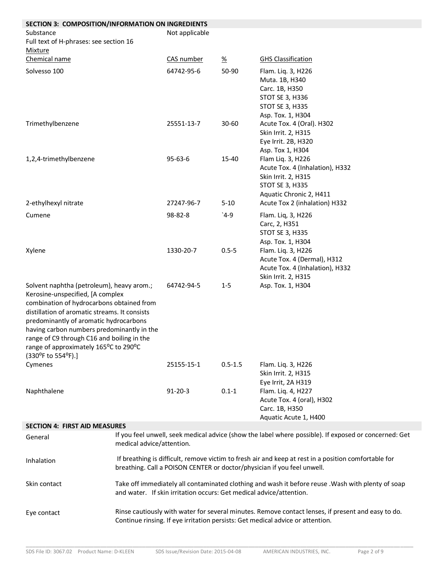| SECTION 3: COMPOSITION/INFORMATION ON INGREDIENTS                                                                                                                                                                                                                                                                                                                                |                                                                                                                                                                                 |                |                 |                                                                                                                                                                                      |
|----------------------------------------------------------------------------------------------------------------------------------------------------------------------------------------------------------------------------------------------------------------------------------------------------------------------------------------------------------------------------------|---------------------------------------------------------------------------------------------------------------------------------------------------------------------------------|----------------|-----------------|--------------------------------------------------------------------------------------------------------------------------------------------------------------------------------------|
| Substance<br>Full text of H-phrases: see section 16<br><b>Mixture</b>                                                                                                                                                                                                                                                                                                            |                                                                                                                                                                                 | Not applicable |                 |                                                                                                                                                                                      |
| Chemical name                                                                                                                                                                                                                                                                                                                                                                    |                                                                                                                                                                                 | CAS number     | $\frac{\%}{\%}$ | <b>GHS Classification</b>                                                                                                                                                            |
| Solvesso 100                                                                                                                                                                                                                                                                                                                                                                     |                                                                                                                                                                                 | 64742-95-6     | 50-90           | Flam. Liq. 3, H226<br>Muta. 1B, H340<br>Carc. 1B, H350<br>STOT SE 3, H336<br>STOT SE 3, H335<br>Asp. Tox. 1, H304                                                                    |
| Trimethylbenzene                                                                                                                                                                                                                                                                                                                                                                 |                                                                                                                                                                                 | 25551-13-7     | $30 - 60$       | Acute Tox. 4 (Oral). H302<br>Skin Irrit. 2, H315<br>Eye Irrit. 2B, H320<br>Asp. Tox 1, H304                                                                                          |
| 1,2,4-trimethylbenzene                                                                                                                                                                                                                                                                                                                                                           |                                                                                                                                                                                 | $95 - 63 - 6$  | 15-40           | Flam Liq. 3, H226<br>Acute Tox. 4 (Inhalation), H332<br>Skin Irrit. 2, H315<br>STOT SE 3, H335<br>Aquatic Chronic 2, H411                                                            |
| 2-ethylhexyl nitrate                                                                                                                                                                                                                                                                                                                                                             |                                                                                                                                                                                 | 27247-96-7     | $5 - 10$        | Acute Tox 2 (inhalation) H332                                                                                                                                                        |
| Cumene                                                                                                                                                                                                                                                                                                                                                                           |                                                                                                                                                                                 | 98-82-8        | $4-9$           | Flam. Liq, 3, H226<br>Carc, 2, H351<br>STOT SE 3, H335<br>Asp. Tox. 1, H304                                                                                                          |
| Xylene                                                                                                                                                                                                                                                                                                                                                                           |                                                                                                                                                                                 | 1330-20-7      | $0.5 - 5$       | Flam. Liq. 3, H226<br>Acute Tox. 4 (Dermal), H312<br>Acute Tox. 4 (Inhalation), H332<br>Skin Irrit. 2, H315                                                                          |
| Solvent naphtha (petroleum), heavy arom.;<br>Kerosine-unspecified, [A complex<br>combination of hydrocarbons obtained from<br>distillation of aromatic streams. It consists<br>predominantly of aromatic hydrocarbons<br>having carbon numbers predominantly in the<br>range of C9 through C16 and boiling in the<br>range of approximately 165°C to 290°C<br>(330°F to 554°F).] |                                                                                                                                                                                 | 64742-94-5     | $1 - 5$         | Asp. Tox. 1, H304                                                                                                                                                                    |
| Cymenes                                                                                                                                                                                                                                                                                                                                                                          |                                                                                                                                                                                 | 25155-15-1     | $0.5 - 1.5$     | Flam. Liq. 3, H226<br>Skin Irrit. 2, H315<br>Eye Irrit, 2A H319                                                                                                                      |
| Naphthalene                                                                                                                                                                                                                                                                                                                                                                      |                                                                                                                                                                                 | $91 - 20 - 3$  | $0.1 - 1$       | Flam. Liq. 4, H227<br>Acute Tox. 4 (oral), H302<br>Carc. 1B, H350<br>Aquatic Acute 1, H400                                                                                           |
| <b>SECTION 4: FIRST AID MEASURES</b>                                                                                                                                                                                                                                                                                                                                             |                                                                                                                                                                                 |                |                 |                                                                                                                                                                                      |
| General                                                                                                                                                                                                                                                                                                                                                                          | medical advice/attention.                                                                                                                                                       |                |                 | If you feel unwell, seek medical advice (show the label where possible). If exposed or concerned: Get                                                                                |
| Inhalation                                                                                                                                                                                                                                                                                                                                                                       | If breathing is difficult, remove victim to fresh air and keep at rest in a position comfortable for<br>breathing. Call a POISON CENTER or doctor/physician if you feel unwell. |                |                 |                                                                                                                                                                                      |
| Skin contact                                                                                                                                                                                                                                                                                                                                                                     | Take off immediately all contaminated clothing and wash it before reuse . Wash with plenty of soap<br>and water. If skin irritation occurs: Get medical advice/attention.       |                |                 |                                                                                                                                                                                      |
| Eye contact                                                                                                                                                                                                                                                                                                                                                                      |                                                                                                                                                                                 |                |                 | Rinse cautiously with water for several minutes. Remove contact lenses, if present and easy to do.<br>Continue rinsing. If eye irritation persists: Get medical advice or attention. |

\_\_\_\_\_\_\_\_\_\_\_\_\_\_\_\_\_\_\_\_\_\_\_\_\_\_\_\_\_\_\_\_\_\_\_\_\_\_\_\_\_\_\_\_\_\_\_\_\_\_\_\_\_\_\_\_\_\_\_\_\_\_\_\_\_\_\_\_\_\_\_\_\_\_\_\_\_\_\_\_\_\_\_\_\_\_\_\_\_\_\_\_\_\_\_\_\_\_\_\_\_\_\_\_\_\_\_\_\_\_\_\_\_\_\_\_\_\_\_\_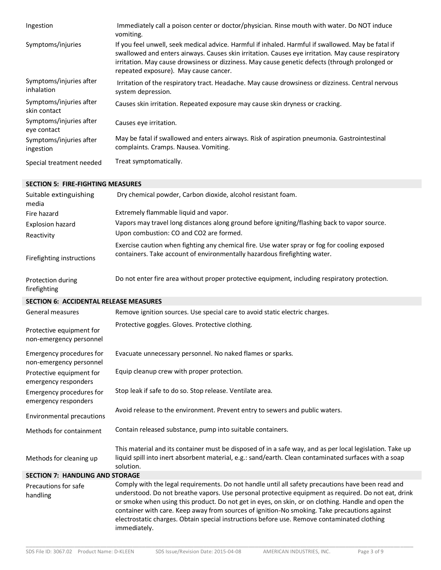| Ingestion                               | Immediately call a poison center or doctor/physician. Rinse mouth with water. Do NOT induce<br>vomiting.                                                                                                                                                                                                                                            |
|-----------------------------------------|-----------------------------------------------------------------------------------------------------------------------------------------------------------------------------------------------------------------------------------------------------------------------------------------------------------------------------------------------------|
| Symptoms/injuries                       | If you feel unwell, seek medical advice. Harmful if inhaled. Harmful if swallowed. May be fatal if<br>swallowed and enters airways. Causes skin irritation. Causes eye irritation. May cause respiratory<br>irritation. May cause drowsiness or dizziness. May cause genetic defects (through prolonged or<br>repeated exposure). May cause cancer. |
| Symptoms/injuries after<br>inhalation   | Irritation of the respiratory tract. Headache. May cause drowsiness or dizziness. Central nervous<br>system depression.                                                                                                                                                                                                                             |
| Symptoms/injuries after<br>skin contact | Causes skin irritation. Repeated exposure may cause skin dryness or cracking.                                                                                                                                                                                                                                                                       |
| Symptoms/injuries after<br>eye contact  | Causes eye irritation.                                                                                                                                                                                                                                                                                                                              |
| Symptoms/injuries after<br>ingestion    | May be fatal if swallowed and enters airways. Risk of aspiration pneumonia. Gastrointestinal<br>complaints. Cramps. Nausea. Vomiting.                                                                                                                                                                                                               |
| Special treatment needed                | Treat symptomatically.                                                                                                                                                                                                                                                                                                                              |

#### **SECTION 5: FIRE-FIGHTING MEASURES** Suitable extinguishing media Dry chemical powder, Carbon dioxide, alcohol resistant foam. Fire hazard Extremely flammable liquid and vapor. Explosion hazard Vapors may travel long distances along ground before igniting/flashing back to vapor source. Reactivity Upon combustion: CO and CO2 are formed. Firefighting instructions Exercise caution when fighting any chemical fire. Use water spray or fog for cooling exposed containers. Take account of environmentally hazardous firefighting water. Protection during firefighting Do not enter fire area without proper protective equipment, including respiratory protection. **SECTION 6: ACCIDENTAL RELEASE MEASURES** General measures **Remove ignition sources.** Use special care to avoid static electric charges. Protective equipment for non-emergency personnel Protective goggles. Gloves. Protective clothing. Emergency procedures for non-emergency personnel Evacuate unnecessary personnel. No naked flames or sparks. Protective equipment for emergency responders Equip cleanup crew with proper protection. Emergency procedures for emergency responders Stop leak if safe to do so. Stop release. Ventilate area. Environmental precautions Avoid release to the environment. Prevent entry to sewers and public waters. Methods for containment Contain released substance, pump into suitable containers. Methods for cleaning up This material and its container must be disposed of in a safe way, and as per local legislation. Take up liquid spill into inert absorbent material, e.g.: sand/earth. Clean contaminated surfaces with a soap solution. **SECTION 7: HANDLING AND STORAGE** Precautions for safe handling Comply with the legal requirements. Do not handle until all safety precautions have been read and understood. Do not breathe vapors. Use personal protective equipment as required. Do not eat, drink or smoke when using this product. Do not get in eyes, on skin, or on clothing. Handle and open the container with care. Keep away from sources of ignition-No smoking. Take precautions against electrostatic charges. Obtain special instructions before use. Remove contaminated clothing immediately.

\_\_\_\_\_\_\_\_\_\_\_\_\_\_\_\_\_\_\_\_\_\_\_\_\_\_\_\_\_\_\_\_\_\_\_\_\_\_\_\_\_\_\_\_\_\_\_\_\_\_\_\_\_\_\_\_\_\_\_\_\_\_\_\_\_\_\_\_\_\_\_\_\_\_\_\_\_\_\_\_\_\_\_\_\_\_\_\_\_\_\_\_\_\_\_\_\_\_\_\_\_\_\_\_\_\_\_\_\_\_\_\_\_\_\_\_\_\_\_\_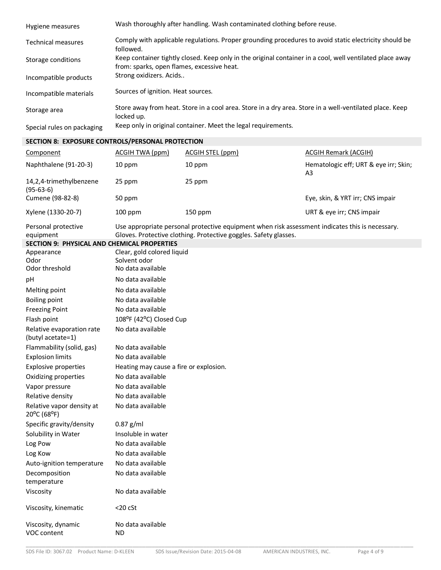| Hygiene measures           | Wash thoroughly after handling. Wash contaminated clothing before reuse.                                                                               |
|----------------------------|--------------------------------------------------------------------------------------------------------------------------------------------------------|
| <b>Technical measures</b>  | Comply with applicable regulations. Proper grounding procedures to avoid static electricity should be<br>followed.                                     |
| Storage conditions         | Keep container tightly closed. Keep only in the original container in a cool, well ventilated place away<br>from: sparks, open flames, excessive heat. |
| Incompatible products      | Strong oxidizers. Acids                                                                                                                                |
| Incompatible materials     | Sources of ignition. Heat sources.                                                                                                                     |
| Storage area               | Store away from heat. Store in a cool area. Store in a dry area. Store in a well-ventilated place. Keep<br>locked up.                                  |
| Special rules on packaging | Keep only in original container. Meet the legal requirements.                                                                                          |

### **SECTION 8: EXPOSURE CONTROLS/PERSONAL PROTECTION**

| Component                              | ACGIH TWA (ppm) | ACGIH STEL (ppm) | <b>ACGIH Remark (ACGIH)</b>                             |
|----------------------------------------|-----------------|------------------|---------------------------------------------------------|
| Naphthalene (91-20-3)                  | 10 ppm          | 10 ppm           | Hematologic eff; URT & eye irr; Skin;<br>A <sub>3</sub> |
| 14,2,4-trimethylbenzene<br>$(95-63-6)$ | 25 ppm          | 25 ppm           |                                                         |
| Cumene (98-82-8)                       | 50 ppm          |                  | Eye, skin, & YRT irr; CNS impair                        |
| Xylene (1330-20-7)                     | $100$ ppm       | 150 ppm          | URT & eye irr; CNS impair                               |

| Personal protective | Use appropriate personal protective equipment when risk assessment indicates this is necessary. |
|---------------------|-------------------------------------------------------------------------------------------------|
| equipment           | Gloves. Protective clothing. Protective goggles. Safety glasses.                                |

|  |  | SECTION 9: PHYSICAL AND CHEMICAL PROPERTIES |  |
|--|--|---------------------------------------------|--|
|--|--|---------------------------------------------|--|

| Appearance<br>Odor                             | Clear, gold colored liquid<br>Solvent odor |
|------------------------------------------------|--------------------------------------------|
| Odor threshold                                 | No data available                          |
| pH                                             | No data available                          |
| Melting point                                  | No data available                          |
| <b>Boiling point</b>                           | No data available                          |
| <b>Freezing Point</b>                          | No data available                          |
| Flash point                                    | 108°F (42°C) Closed Cup                    |
| Relative evaporation rate<br>(butyl acetate=1) | No data available                          |
| Flammability (solid, gas)                      | No data available                          |
| <b>Explosion limits</b>                        | No data available                          |
| <b>Explosive properties</b>                    | Heating may cause a fire or explosion.     |
| Oxidizing properties                           | No data available                          |
| Vapor pressure                                 | No data available                          |
| Relative density                               | No data available                          |
| Relative vapor density at<br>20°C (68°F)       | No data available                          |
| Specific gravity/density                       | $0.87$ g/ml                                |
| Solubility in Water                            | Insoluble in water                         |
| Log Pow                                        | No data available                          |
| Log Kow                                        | No data available                          |
| Auto-ignition temperature                      | No data available                          |
| Decomposition<br>temperature                   | No data available                          |
| Viscosity                                      | No data available                          |
| Viscosity, kinematic                           | $<$ 20 cSt                                 |
| Viscosity, dynamic<br>VOC content              | No data available<br><b>ND</b>             |
|                                                |                                            |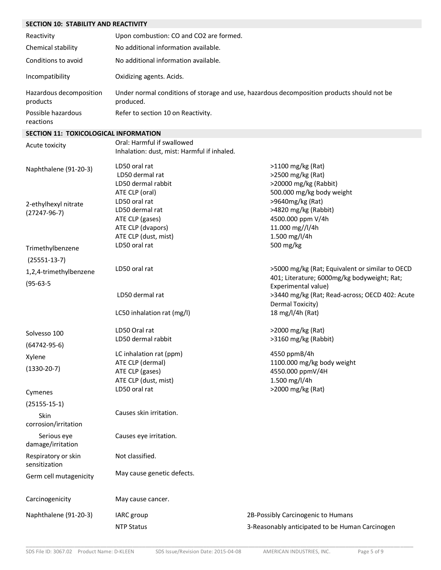## **SECTION 10: STABILITY AND REACTIVITY**

| Reactivity                          | Upon combustion: CO and CO2 are formed.                                                                 |
|-------------------------------------|---------------------------------------------------------------------------------------------------------|
| Chemical stability                  | No additional information available.                                                                    |
| Conditions to avoid                 | No additional information available.                                                                    |
| Incompatibility                     | Oxidizing agents. Acids.                                                                                |
| Hazardous decomposition<br>products | Under normal conditions of storage and use, hazardous decomposition products should not be<br>produced. |
| Possible hazardous<br>reactions     | Refer to section 10 on Reactivity.                                                                      |

### **SECTION 11: TOXICOLOGICAL INFORMATION**

| Acute toxicity                         | Oral: Harmful if swallowed<br>Inhalation: dust, mist: Harmful if inhaled.                        |                                                                                                                      |
|----------------------------------------|--------------------------------------------------------------------------------------------------|----------------------------------------------------------------------------------------------------------------------|
| Naphthalene (91-20-3)                  | LD50 oral rat<br>LD50 dermal rat<br>LD50 dermal rabbit<br>ATE CLP (oral)                         | >1100 mg/kg (Rat)<br>>2500 mg/kg (Rat)<br>>20000 mg/kg (Rabbit)<br>500.000 mg/kg body weight                         |
| 2-ethylhexyl nitrate<br>$(27247-96-7)$ | LD50 oral rat<br>LD50 dermal rat<br>ATE CLP (gases)<br>ATE CLP (dvapors)<br>ATE CLP (dust, mist) | >9640mg/kg (Rat)<br>>4820 mg/kg (Rabbit)<br>4500.000 ppm V/4h<br>11.000 mg//l/4h<br>1.500 mg/l/4h                    |
| Trimethylbenzene                       | LD50 oral rat                                                                                    | 500 mg/kg                                                                                                            |
| $(25551-13-7)$                         |                                                                                                  |                                                                                                                      |
| 1,2,4-trimethylbenzene                 | LD50 oral rat                                                                                    | >5000 mg/kg (Rat; Equivalent or similar to OECD                                                                      |
| $(95-63-5)$                            | LD50 dermal rat                                                                                  | 401; Literature; 6000mg/kg bodyweight; Rat;<br>Experimental value)<br>>3440 mg/kg (Rat; Read-across; OECD 402: Acute |
|                                        | LC50 inhalation rat (mg/l)                                                                       | Dermal Toxicity)<br>18 mg/l/4h (Rat)                                                                                 |
| Solvesso 100                           | LD50 Oral rat                                                                                    | >2000 mg/kg (Rat)                                                                                                    |
| $(64742 - 95 - 6)$                     | LD50 dermal rabbit                                                                               | >3160 mg/kg (Rabbit)                                                                                                 |
| Xylene<br>$(1330-20-7)$                | LC inhalation rat (ppm)<br>ATE CLP (dermal)<br>ATE CLP (gases)<br>ATE CLP (dust, mist)           | 4550 ppmB/4h<br>1100.000 mg/kg body weight<br>4550.000 ppmV/4H<br>1.500 mg/l/4h                                      |
| Cymenes                                | LD50 oral rat                                                                                    | >2000 mg/kg (Rat)                                                                                                    |
| $(25155-15-1)$                         |                                                                                                  |                                                                                                                      |
| Skin<br>corrosion/irritation           | Causes skin irritation.                                                                          |                                                                                                                      |
| Serious eye<br>damage/irritation       | Causes eye irritation.                                                                           |                                                                                                                      |
| Respiratory or skin<br>sensitization   | Not classified.                                                                                  |                                                                                                                      |
| Germ cell mutagenicity                 | May cause genetic defects.                                                                       |                                                                                                                      |
| Carcinogenicity                        | May cause cancer.                                                                                |                                                                                                                      |
| Naphthalene (91-20-3)                  | IARC group                                                                                       | 2B-Possibly Carcinogenic to Humans                                                                                   |
|                                        | <b>NTP Status</b>                                                                                | 3-Reasonably anticipated to be Human Carcinogen                                                                      |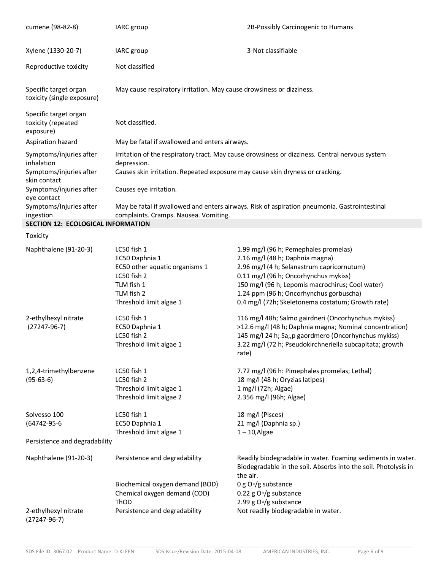| cumene (98-82-8)                                         | IARC group                                                                                                                                                                                                                                          | 2B-Possibly Carcinogenic to Humans                                                                                                                                                                                                                                                                                  |
|----------------------------------------------------------|-----------------------------------------------------------------------------------------------------------------------------------------------------------------------------------------------------------------------------------------------------|---------------------------------------------------------------------------------------------------------------------------------------------------------------------------------------------------------------------------------------------------------------------------------------------------------------------|
| Xylene (1330-20-7)                                       | IARC group                                                                                                                                                                                                                                          | 3-Not classifiable                                                                                                                                                                                                                                                                                                  |
| Reproductive toxicity                                    | Not classified                                                                                                                                                                                                                                      |                                                                                                                                                                                                                                                                                                                     |
| Specific target organ<br>toxicity (single exposure)      | May cause respiratory irritation. May cause drowsiness or dizziness.                                                                                                                                                                                |                                                                                                                                                                                                                                                                                                                     |
| Specific target organ<br>toxicity (repeated<br>exposure) | Not classified.                                                                                                                                                                                                                                     |                                                                                                                                                                                                                                                                                                                     |
| Aspiration hazard                                        | May be fatal if swallowed and enters airways.                                                                                                                                                                                                       |                                                                                                                                                                                                                                                                                                                     |
| Symptoms/injuries after<br>inhalation                    | Irritation of the respiratory tract. May cause drowsiness or dizziness. Central nervous system<br>depression.<br>Symptoms/injuries after<br>Causes skin irritation. Repeated exposure may cause skin dryness or cracking.<br>Causes eye irritation. |                                                                                                                                                                                                                                                                                                                     |
| skin contact<br>Symptoms/injuries after                  |                                                                                                                                                                                                                                                     |                                                                                                                                                                                                                                                                                                                     |
| eye contact<br>Symptoms/Injuries after<br>ingestion      | May be fatal if swallowed and enters airways. Risk of aspiration pneumonia. Gastrointestinal<br>complaints. Cramps. Nausea. Vomiting.                                                                                                               |                                                                                                                                                                                                                                                                                                                     |
| SECTION 12: ECOLOGICAL INFORMATION                       |                                                                                                                                                                                                                                                     |                                                                                                                                                                                                                                                                                                                     |
| Toxicity                                                 |                                                                                                                                                                                                                                                     |                                                                                                                                                                                                                                                                                                                     |
| Naphthalene (91-20-3)                                    | LC50 fish 1<br>EC50 Daphnia 1<br>EC50 other aquatic organisms 1<br>LC50 fish 2<br>TLM fish 1<br>TLM fish 2<br>Threshold limit algae 1                                                                                                               | 1.99 mg/l (96 h; Pemephales promelas)<br>2.16 mg/l (48 h; Daphnia magna)<br>2.96 mg/l (4 h; Selanastrum capricornutum)<br>0.11 mg/l (96 h; Oncorhynchus mykiss)<br>150 mg/l (96 h; Lepomis macrochirus; Cool water)<br>1.24 ppm (96 h; Oncorhynchus gorbuscha)<br>0.4 mg/l (72h; Skeletonema costatum; Growth rate) |
| 2-ethylhexyl nitrate<br>$(27247-96-7)$                   | LC50 fish 1<br>EC50 Daphnia 1<br>LC50 fish 2<br>Threshold limit algae 1                                                                                                                                                                             | 116 mg/l 48h; Salmo gairdneri (Oncorhynchus mykiss)<br>>12.6 mg/l (48 h; Daphnia magna; Nominal concentration)<br>145 mg/l 24 h; Sa;, p gaordmero (Oncorhynchus mykiss)<br>3.22 mg/l (72 h; Pseudokirchneriella subcapitata; growth<br>rate)                                                                        |
| 1,2,4-trimethylbenzene<br>$(95-63-6)$                    | LC50 fish 1<br>LC50 fish 2<br>Threshold limit algae 1<br>Threshold limit algae 2                                                                                                                                                                    | 7.72 mg/l (96 h: Pimephales promelas; Lethal)<br>18 mg/l (48 h; Oryzias latipes)<br>1 mg/l (72h; Algae)<br>2.356 mg/l (96h; Algae)                                                                                                                                                                                  |
| Solvesso 100<br>(64742-95-6                              | LC50 fish 1<br>EC50 Daphnia 1<br>Threshold limit algae 1                                                                                                                                                                                            | 18 mg/l (Pisces)<br>21 mg/l (Daphnia sp.)<br>$1 - 10$ , Algae                                                                                                                                                                                                                                                       |
| Persistence and degradability                            |                                                                                                                                                                                                                                                     |                                                                                                                                                                                                                                                                                                                     |
| Naphthalene (91-20-3)                                    | Persistence and degradability<br>Biochemical oxygen demand (BOD)                                                                                                                                                                                    | Readily biodegradable in water. Foaming sediments in water.<br>Biodegradable in the soil. Absorbs into the soil. Photolysis in<br>the air.<br>0 g O <sup><math>\nu</math></sup> /g substance                                                                                                                        |
|                                                          | Chemical oxygen demand (COD)                                                                                                                                                                                                                        | 0.22 g $OT/g$ substance                                                                                                                                                                                                                                                                                             |
|                                                          | ThOD                                                                                                                                                                                                                                                | 2.99 g $OT/g$ substance                                                                                                                                                                                                                                                                                             |
| 2-ethylhexyl nitrate<br>$(27247-96-7)$                   | Persistence and degradability                                                                                                                                                                                                                       | Not readily biodegradable in water.                                                                                                                                                                                                                                                                                 |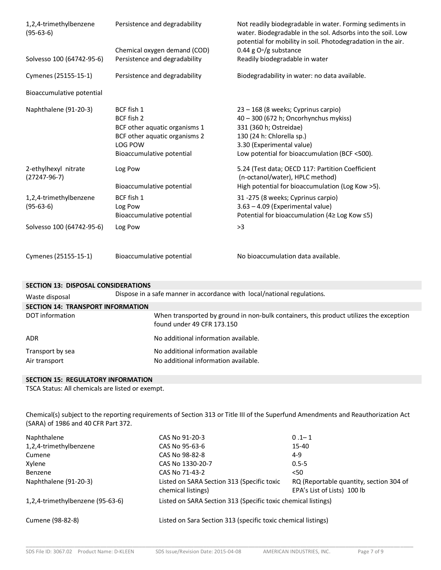| 1,2,4-trimethylbenzene<br>$(95-63-6)$  | Persistence and degradability | Not readily biodegradable in water. Forming sediments in<br>water. Biodegradable in the sol. Adsorbs into the soil. Low<br>potential for mobility in soil. Photodegradation in the air. |
|----------------------------------------|-------------------------------|-----------------------------------------------------------------------------------------------------------------------------------------------------------------------------------------|
|                                        | Chemical oxygen demand (COD)  | 0.44 g $O0/g$ substance                                                                                                                                                                 |
| Solvesso 100 (64742-95-6)              | Persistence and degradability | Readily biodegradable in water                                                                                                                                                          |
| Cymenes (25155-15-1)                   | Persistence and degradability | Biodegradability in water: no data available.                                                                                                                                           |
| Bioaccumulative potential              |                               |                                                                                                                                                                                         |
| Naphthalene (91-20-3)                  | BCF fish 1                    | 23 - 168 (8 weeks; Cyprinus carpio)                                                                                                                                                     |
|                                        | BCF fish 2                    | 40 - 300 (672 h; Oncorhynchus mykiss)                                                                                                                                                   |
|                                        | BCF other aquatic organisms 1 | 331 (360 h; Ostreidae)                                                                                                                                                                  |
|                                        | BCF other aquatic organisms 2 | 130 (24 h: Chlorella sp.)                                                                                                                                                               |
|                                        | LOG POW                       | 3.30 (Experimental value)                                                                                                                                                               |
|                                        | Bioaccumulative potential     | Low potential for bioaccumulation (BCF <500).                                                                                                                                           |
| 2-ethylhexyl nitrate<br>$(27247-96-7)$ | Log Pow                       | 5.24 (Test data; OECD 117: Partition Coefficient<br>(n-octanol/water), HPLC method)                                                                                                     |
|                                        | Bioaccumulative potential     | High potential for bioaccumulation (Log Kow >5).                                                                                                                                        |
| 1,2,4-trimethylbenzene                 | BCF fish 1                    | 31 -275 (8 weeks; Cyprinus carpio)                                                                                                                                                      |
| $(95-63-6)$                            | Log Pow                       | 3.63 - 4.09 (Experimental value)                                                                                                                                                        |
|                                        | Bioaccumulative potential     | Potential for bioaccumulation (4≥ Log Kow ≤5)                                                                                                                                           |
| Solvesso 100 (64742-95-6)              | Log Pow                       | >3                                                                                                                                                                                      |
| Cymenes (25155-15-1)                   | Bioaccumulative potential     | No bioaccumulation data available.                                                                                                                                                      |

## **SECTION 13: DISPOSAL CONSIDERATIONS** Waste disposal Dispose in a safe manner in accordance with local/national regulations.

| <b>SECTION 14: TRANSPORT INFORMATION</b> |                                                                                                                      |
|------------------------------------------|----------------------------------------------------------------------------------------------------------------------|
| DOT information                          | When transported by ground in non-bulk containers, this product utilizes the exception<br>found under 49 CFR 173.150 |
| <b>ADR</b>                               | No additional information available.                                                                                 |
| Transport by sea                         | No additional information available                                                                                  |
| Air transport                            | No additional information available.                                                                                 |

## **SECTION 15: REGULATORY INFORMATION**

TSCA Status: All chemicals are listed or exempt.

Chemical(s) subject to the reporting requirements of Section 313 or Title III of the Superfund Amendments and Reauthorization Act (SARA) of 1986 and 40 CFR Part 372.

| Naphthalene                      | CAS No 91-20-3                                                   | $0.1 - 1$                                                              |
|----------------------------------|------------------------------------------------------------------|------------------------------------------------------------------------|
| 1,2,4-trimethylbenzene           | CAS No 95-63-6                                                   | $15 - 40$                                                              |
| Cumene                           | CAS No 98-82-8                                                   | $4-9$                                                                  |
| Xylene                           | CAS No 1330-20-7                                                 | $0.5 - 5$                                                              |
| Benzene                          | CAS No 71-43-2                                                   | $50$                                                                   |
| Naphthalene (91-20-3)            | Listed on SARA Section 313 (Specific toxic<br>chemical listings) | RQ (Reportable quantity, section 304 of<br>EPA's List of Lists) 100 lb |
| 1,2,4-trimethylbenzene (95-63-6) | Listed on SARA Section 313 (Specific toxic chemical listings)    |                                                                        |
| Cumene (98-82-8)                 | Listed on Sara Section 313 (specific toxic chemical listings)    |                                                                        |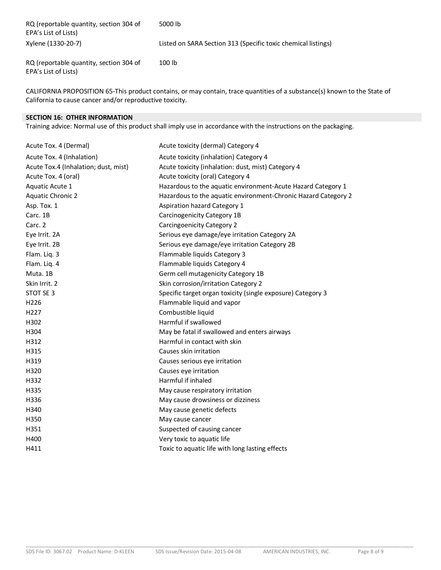| RQ (reportable quantity, section 304 of<br>EPA's List of Lists) | 5000 lb                                                       |
|-----------------------------------------------------------------|---------------------------------------------------------------|
| Xylene (1330-20-7)                                              | Listed on SARA Section 313 (Specific toxic chemical listings) |
| RQ (reportable quantity, section 304 of<br>EPA's List of Lists) | 100 lb                                                        |

CALIFORNIA PROPOSITION 65-This product contains, or may contain, trace quantities of a substance(s) known to the State of California to cause cancer and/or reproductive toxicity.

### **SECTION 16: OTHER INFORMATION**

Training advice: Normal use of this product shall imply use in accordance with the instructions on the packaging.

| Acute Tox. 4 (Dermal)                | Acute toxicity (dermal) Category 4                             |
|--------------------------------------|----------------------------------------------------------------|
| Acute Tox. 4 (Inhalation)            | Acute toxicity (inhalation) Category 4                         |
| Acute Tox.4 (Inhalation; dust, mist) | Acute toxicity (inhalation: dust, mist) Category 4             |
| Acute Tox. 4 (oral)                  | Acute toxicity (oral) Category 4                               |
| Aquatic Acute 1                      | Hazardous to the aquatic environment-Acute Hazard Category 1   |
| <b>Aquatic Chronic 2</b>             | Hazardous to the aquatic environment-Chronic Hazard Category 2 |
| Asp. Tox. 1                          | Aspiration hazard Category 1                                   |
| Carc. 1B                             | Carcinogenicity Category 1B                                    |
| Carc. 2                              | Carcingoenicity Category 2                                     |
| Eye Irrit. 2A                        | Serious eye damage/eye irritation Category 2A                  |
| Eye Irrit. 2B                        | Serious eye damage/eye irritation Category 2B                  |
| Flam. Liq. 3                         | Flammable liquids Category 3                                   |
| Flam. Liq. 4                         | Flammable liquids Category 4                                   |
| Muta. 1B                             | Germ cell mutagenicity Category 1B                             |
| Skin Irrit. 2                        | Skin corrosion/irritation Category 2                           |
| STOT SE 3                            | Specific target organ toxicity (single exposure) Category 3    |
| H <sub>226</sub>                     | Flammable liquid and vapor                                     |
| H <sub>227</sub>                     | Combustible liquid                                             |
| H302                                 | Harmful if swallowed                                           |
| H304                                 | May be fatal if swallowed and enters airways                   |
| H312                                 | Harmful in contact with skin                                   |
| H315                                 | Causes skin irritation                                         |
| H319                                 | Causes serious eye irritation                                  |
| H320                                 | Causes eye irritation                                          |
| H332                                 | Harmful if inhaled                                             |
| H335                                 | May cause respiratory irritation                               |
| H336                                 | May cause drowsiness or dizziness                              |
| H340                                 | May cause genetic defects                                      |
| H350                                 | May cause cancer                                               |
| H351                                 | Suspected of causing cancer                                    |
| H400                                 | Very toxic to aquatic life                                     |
| H411                                 | Toxic to aquatic life with long lasting effects                |